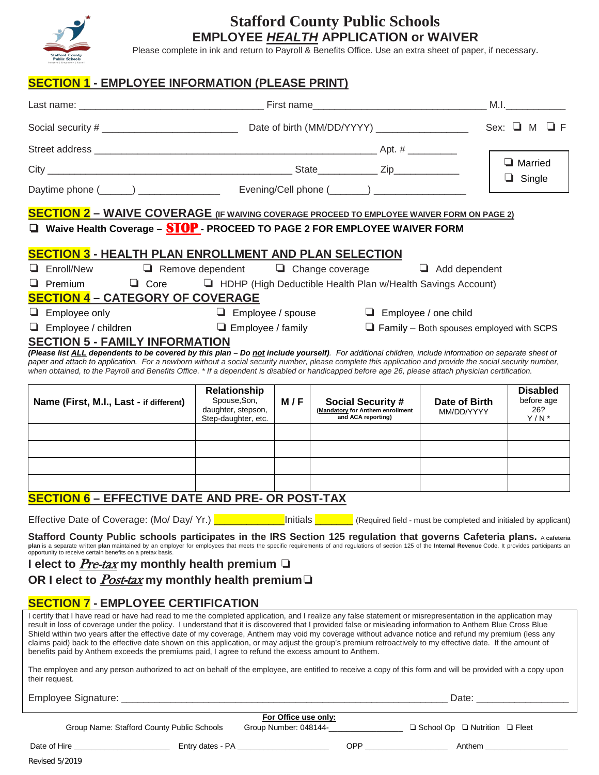

## **Stafford County Public Schools EMPLOYEE** *HEALTH* **APPLICATION or WAIVER**

Please complete in ink and return to Payroll & Benefits Office. Use an extra sheet of paper, if necessary.

## **SECTION 1 - EMPLOYEE INFORMATION (PLEASE PRINT)**

|                                                                                                                                                                                                                                                                                                                                     |                                           |                      |                                                                                |                                                 | M.I.                          |
|-------------------------------------------------------------------------------------------------------------------------------------------------------------------------------------------------------------------------------------------------------------------------------------------------------------------------------------|-------------------------------------------|----------------------|--------------------------------------------------------------------------------|-------------------------------------------------|-------------------------------|
|                                                                                                                                                                                                                                                                                                                                     |                                           |                      |                                                                                |                                                 |                               |
|                                                                                                                                                                                                                                                                                                                                     |                                           |                      |                                                                                |                                                 |                               |
|                                                                                                                                                                                                                                                                                                                                     |                                           |                      |                                                                                |                                                 | $\Box$ Married                |
|                                                                                                                                                                                                                                                                                                                                     |                                           |                      |                                                                                |                                                 | $\Box$ Single                 |
| <b>SECTION 2 - WAIVE COVERAGE</b> (IF WAIVING COVERAGE PROCEED TO EMPLOYEE WAIVER FORM ON PAGE 2)                                                                                                                                                                                                                                   |                                           |                      |                                                                                |                                                 |                               |
| $\Box$ Waive Health Coverage - $STOP$ - PROCEED TO PAGE 2 FOR EMPLOYEE WAIVER FORM                                                                                                                                                                                                                                                  |                                           |                      |                                                                                |                                                 |                               |
| <b>SECTION 3 - HEALTH PLAN ENROLLMENT AND PLAN SELECTION</b>                                                                                                                                                                                                                                                                        |                                           |                      |                                                                                |                                                 |                               |
| Enroll/New<br>⊔                                                                                                                                                                                                                                                                                                                     |                                           |                      | $\Box$ Remove dependent $\Box$ Change coverage                                 | $\Box$ Add dependent                            |                               |
| $\Box$ Premium                                                                                                                                                                                                                                                                                                                      |                                           |                      | $\Box$ Core $\Box$ HDHP (High Deductible Health Plan w/Health Savings Account) |                                                 |                               |
| <b>SECTION 4 - CATEGORY OF COVERAGE</b>                                                                                                                                                                                                                                                                                             |                                           |                      |                                                                                |                                                 |                               |
| $\Box$ Employee only                                                                                                                                                                                                                                                                                                                | $\Box$ Employee / spouse                  |                      |                                                                                | $\Box$ Employee / one child                     |                               |
| Employee / children<br>❏.                                                                                                                                                                                                                                                                                                           | $\Box$ Employee / family                  |                      |                                                                                | $\Box$ Family – Both spouses employed with SCPS |                               |
| <b>SECTION 5 - FAMILY INFORMATION</b><br>(Please list ALL dependents to be covered by this plan - Do not include yourself). For additional children, include information on separate sheet of                                                                                                                                       |                                           |                      |                                                                                |                                                 |                               |
| paper and attach to application. For a newborn without a social security number, please complete this application and provide the social security number,<br>when obtained, to the Payroll and Benefits Office. * If a dependent is disabled or handicapped before age 26, please attach physician certification.                   |                                           |                      |                                                                                |                                                 |                               |
|                                                                                                                                                                                                                                                                                                                                     |                                           |                      |                                                                                |                                                 |                               |
| Name (First, M.I., Last - if different)                                                                                                                                                                                                                                                                                             | <b>Relationship</b><br>Spouse, Son,       | M/F                  | <b>Social Security #</b>                                                       | Date of Birth                                   | <b>Disabled</b><br>before age |
|                                                                                                                                                                                                                                                                                                                                     | daughter, stepson,<br>Step-daughter, etc. |                      | (Mandatory for Anthem enrollment<br>and ACA reporting)                         | MM/DD/YYYY                                      | 26?<br>$Y/N^*$                |
|                                                                                                                                                                                                                                                                                                                                     |                                           |                      |                                                                                |                                                 |                               |
|                                                                                                                                                                                                                                                                                                                                     |                                           |                      |                                                                                |                                                 |                               |
|                                                                                                                                                                                                                                                                                                                                     |                                           |                      |                                                                                |                                                 |                               |
|                                                                                                                                                                                                                                                                                                                                     |                                           |                      |                                                                                |                                                 |                               |
| <b>SECTION 6 - EFFECTIVE DATE AND PRE- OR POST-TAX</b>                                                                                                                                                                                                                                                                              |                                           |                      |                                                                                |                                                 |                               |
|                                                                                                                                                                                                                                                                                                                                     |                                           |                      |                                                                                |                                                 |                               |
| Effective Date of Coverage: (Mo/ Day/ Yr.) <b>Proget Consenses Unitials Proget Consenses</b> (Required field - must be completed and initialed by applicant)                                                                                                                                                                        |                                           |                      |                                                                                |                                                 |                               |
| Stafford County Public schools participates in the IRS Section 125 regulation that governs Cafeteria plans. A cafeteria<br>plan is a separate written plan maintained by an employer for employees that meets the specific requirements of and regulations of section 125 of the Internal Revenue Code. It provides participants an |                                           |                      |                                                                                |                                                 |                               |
| opportunity to receive certain benefits on a pretax basis.<br>I elect to Pre-tax my monthly health premium $\Box$                                                                                                                                                                                                                   |                                           |                      |                                                                                |                                                 |                               |
| OR I elect to <i>Post-tax</i> my monthly health premium $\Box$                                                                                                                                                                                                                                                                      |                                           |                      |                                                                                |                                                 |                               |
|                                                                                                                                                                                                                                                                                                                                     |                                           |                      |                                                                                |                                                 |                               |
| <b>SECTION 7 - EMPLOYEE CERTIFICATION</b>                                                                                                                                                                                                                                                                                           |                                           |                      |                                                                                |                                                 |                               |
| I certify that I have read or have had read to me the completed application, and I realize any false statement or misrepresentation in the application may<br>result in loss of coverage under the policy. I understand that it is discovered that I provided false or misleading information to Anthem Blue Cross Blue             |                                           |                      |                                                                                |                                                 |                               |
| Shield within two years after the effective date of my coverage, Anthem may void my coverage without advance notice and refund my premium (less any<br>claims paid) back to the effective date shown on this application, or may adjust the group's premium retroactively to my effective date. If the amount of                    |                                           |                      |                                                                                |                                                 |                               |
| benefits paid by Anthem exceeds the premiums paid, I agree to refund the excess amount to Anthem.                                                                                                                                                                                                                                   |                                           |                      |                                                                                |                                                 |                               |
| The employee and any person authorized to act on behalf of the employee, are entitled to receive a copy of this form and will be provided with a copy upon<br>their request.                                                                                                                                                        |                                           |                      |                                                                                |                                                 |                               |
|                                                                                                                                                                                                                                                                                                                                     |                                           |                      |                                                                                |                                                 |                               |
|                                                                                                                                                                                                                                                                                                                                     |                                           | For Office use only: |                                                                                |                                                 |                               |
| Group Name: Stafford County Public Schools                                                                                                                                                                                                                                                                                          |                                           |                      |                                                                                |                                                 |                               |
|                                                                                                                                                                                                                                                                                                                                     |                                           |                      | $OPP$ and $CP$                                                                 |                                                 | Anthem <b>Anthen</b>          |

Revised 5/2019